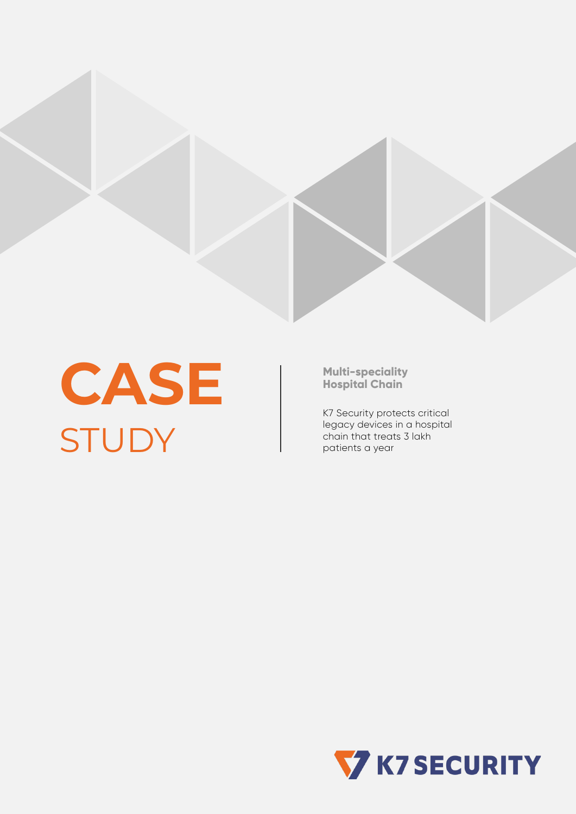

**CASE STUDY** 

**Multi-speciality Hospital Chain**

K7 Security protects critical legacy devices in a hospital chain that treats 3 lakh patients a year

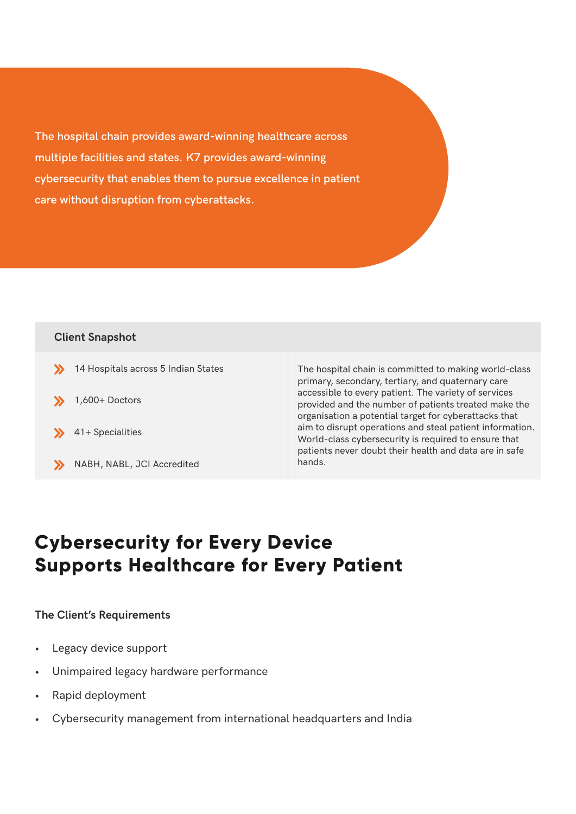**The hospital chain provides award-winning healthcare across multiple facilities and states. K7 provides award-winning cybersecurity that enables them to pursue excellence in patient care without disruption from cyberattacks.**

### **Client Snapshot**

 $\rightarrow$  14 Hospitals across 5 Indian States The hospital chain is committed to making world-class primary, secondary, tertiary, and quaternary care accessible to every patient. The variety of services provided and the number of patients treated make the organisation a potential target for cyberattacks that aim to disrupt operations and steal patient information. World-class cybersecurity is required to ensure that patients never doubt their health and data are in safe hands.  $1,600+$  Doctors  $\left\{\right\}$  41+ Specialities NABH, NABL, JCI Accredited

### **Cybersecurity for Every Device Supports Healthcare for Every Patient**

#### **The Client's Requirements**

- Legacy device support
- Unimpaired legacy hardware performance
- Rapid deployment
- Cybersecurity management from international headquarters and India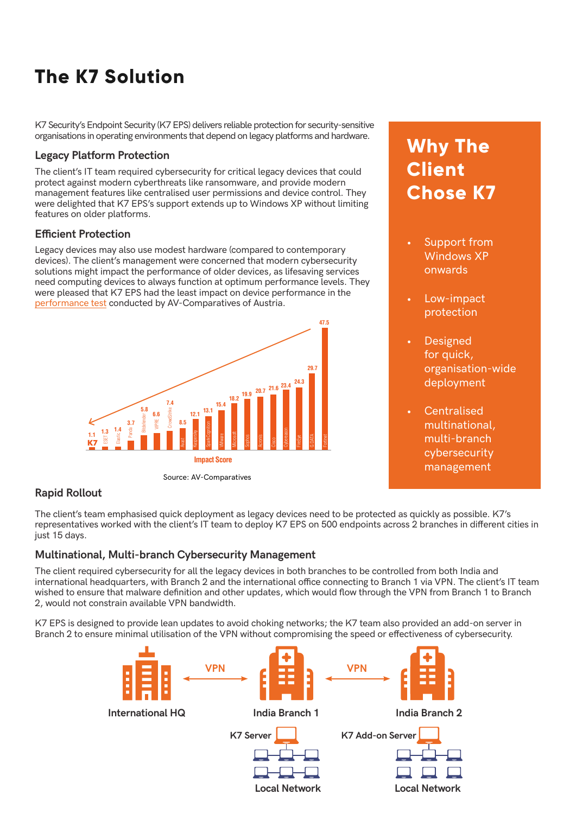# **The K7 Solution**

K7 Security's Endpoint Security (K7 EPS) delivers reliable protection for security-sensitive organisations in operating environments that depend on legacy platforms and hardware.

#### **Legacy Platform Protection**

The client's IT team required cybersecurity for critical legacy devices that could protect against modern cyberthreats like ransomware, and provide modern management features like centralised user permissions and device control. They were delighted that K7 EPS's support extends up to Windows XP without limiting features on older platforms.

#### **Efficient Protection**

Legacy devices may also use modest hardware (compared to contemporary devices). The client's management were concerned that modern cybersecurity solutions might impact the performance of older devices, as lifesaving services need computing devices to always function at optimum performance levels. They were pleased that K7 EPS had the least impact on device performance in the [performance test](https://www.av-comparatives.org/tests/business-security-test-2020-march-june/) conducted by AV-Comparatives of Austria.



Source: AV-Comparatives

## **Why The Client Chose K7**

- Support from Windows XP onwards
- Low-impact protection
- **Designed** for quick, organisation-wide deployment
- **Centralised** multinational, multi-branch cybersecurity management

#### **Rapid Rollout**

The client's team emphasised quick deployment as legacy devices need to be protected as quickly as possible. K7's representatives worked with the client's IT team to deploy K7 EPS on 500 endpoints across 2 branches in different cities in just 15 days.

#### **Multinational, Multi-branch Cybersecurity Management**

The client required cybersecurity for all the legacy devices in both branches to be controlled from both India and international headquarters, with Branch 2 and the international office connecting to Branch 1 via VPN. The client's IT team wished to ensure that malware definition and other updates, which would flow through the VPN from Branch 1 to Branch 2, would not constrain available VPN bandwidth.

K7 EPS is designed to provide lean updates to avoid choking networks; the K7 team also provided an add-on server in Branch 2 to ensure minimal utilisation of the VPN without compromising the speed or effectiveness of cybersecurity.